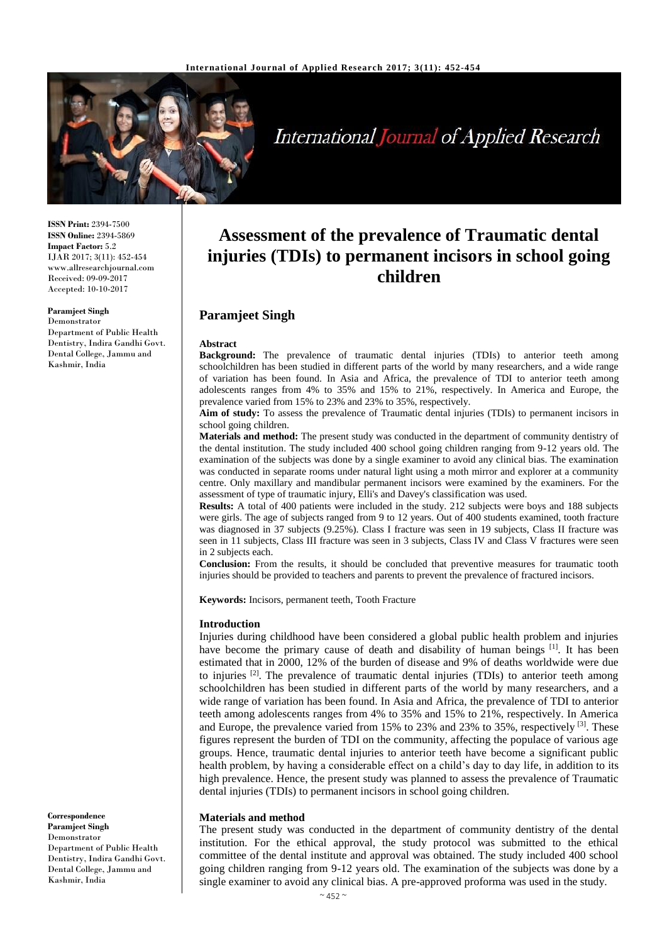

International Journal of Applied Research

**ISSN Print:** 2394-7500 **ISSN Online:** 2394-5869 **Impact Factor:** 5.2 IJAR 2017; 3(11): 452-454 www.allresearchjournal.com Received: 09-09-2017 Accepted: 10-10-2017

#### **Paramjeet Singh**

Department of Public Health Dentistry, Indira Gandhi Govt. Dental College, Jammu and Kashmir, India

#### Demonstrator

**Correspondence Paramjeet Singh**  Demonstrator Department of Public Health Dentistry, Indira Gandhi Govt. Dental College, Jammu and Kashmir, India

# **Assessment of the prevalence of Traumatic dental injuries (TDIs) to permanent incisors in school going children**

# **Paramjeet Singh**

#### **Abstract**

**Background:** The prevalence of traumatic dental injuries (TDIs) to anterior teeth among schoolchildren has been studied in different parts of the world by many researchers, and a wide range of variation has been found. In Asia and Africa, the prevalence of TDI to anterior teeth among adolescents ranges from 4% to 35% and 15% to 21%, respectively. In America and Europe, the prevalence varied from 15% to 23% and 23% to 35%, respectively.

**Aim of study:** To assess the prevalence of Traumatic dental injuries (TDIs) to permanent incisors in school going children.

**Materials and method:** The present study was conducted in the department of community dentistry of the dental institution. The study included 400 school going children ranging from 9-12 years old. The examination of the subjects was done by a single examiner to avoid any clinical bias. The examination was conducted in separate rooms under natural light using a moth mirror and explorer at a community centre. Only maxillary and mandibular permanent incisors were examined by the examiners. For the assessment of type of traumatic injury, Elli's and Davey's classification was used.

**Results:** A total of 400 patients were included in the study. 212 subjects were boys and 188 subjects were girls. The age of subjects ranged from 9 to 12 years. Out of 400 students examined, tooth fracture was diagnosed in 37 subjects (9.25%). Class I fracture was seen in 19 subjects, Class II fracture was seen in 11 subjects, Class III fracture was seen in 3 subjects, Class IV and Class V fractures were seen in 2 subjects each.

**Conclusion:** From the results, it should be concluded that preventive measures for traumatic tooth injuries should be provided to teachers and parents to prevent the prevalence of fractured incisors.

**Keywords:** Incisors, permanent teeth, Tooth Fracture

#### **Introduction**

Injuries during childhood have been considered a global public health problem and injuries have become the primary cause of death and disability of human beings [1]. It has been estimated that in 2000, 12% of the burden of disease and 9% of deaths worldwide were due to injuries <sup>[2]</sup>. The prevalence of traumatic dental injuries (TDIs) to anterior teeth among schoolchildren has been studied in different parts of the world by many researchers, and a wide range of variation has been found. In Asia and Africa, the prevalence of TDI to anterior teeth among adolescents ranges from 4% to 35% and 15% to 21%, respectively. In America and Europe, the prevalence varied from 15% to 23% and 23% to 35%, respectively <sup>[3]</sup>. These figures represent the burden of TDI on the community, affecting the populace of various age groups. Hence, traumatic dental injuries to anterior teeth have become a significant public health problem, by having a considerable effect on a child's day to day life, in addition to its high prevalence. Hence, the present study was planned to assess the prevalence of Traumatic dental injuries (TDIs) to permanent incisors in school going children.

#### **Materials and method**

The present study was conducted in the department of community dentistry of the dental institution. For the ethical approval, the study protocol was submitted to the ethical committee of the dental institute and approval was obtained. The study included 400 school going children ranging from 9-12 years old. The examination of the subjects was done by a single examiner to avoid any clinical bias. A pre-approved proforma was used in the study.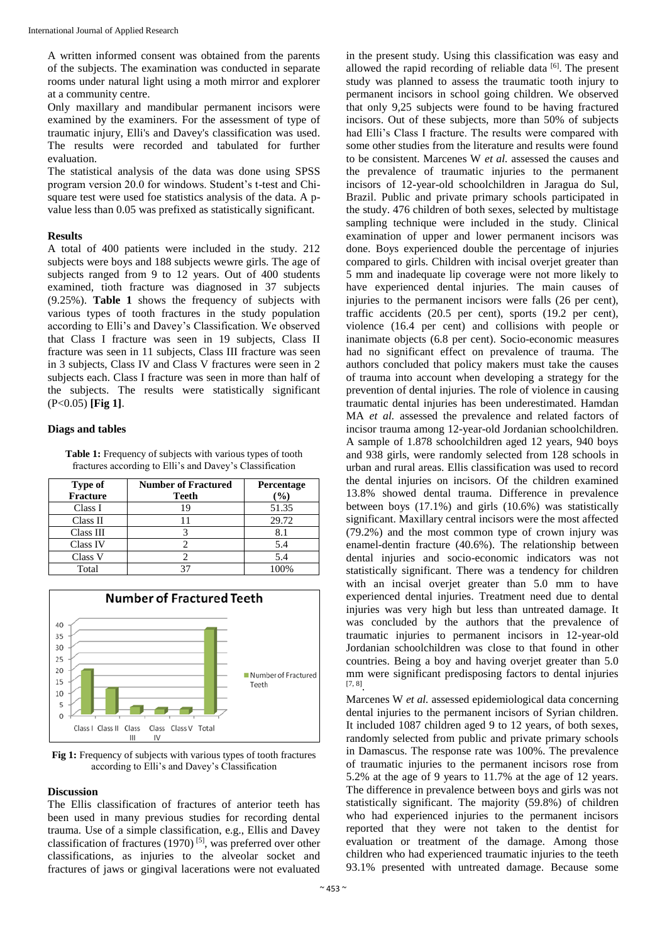A written informed consent was obtained from the parents of the subjects. The examination was conducted in separate rooms under natural light using a moth mirror and explorer at a community centre.

Only maxillary and mandibular permanent incisors were examined by the examiners. For the assessment of type of traumatic injury, Elli's and Davey's classification was used. The results were recorded and tabulated for further evaluation.

The statistical analysis of the data was done using SPSS program version 20.0 for windows. Student's t-test and Chisquare test were used foe statistics analysis of the data. A pvalue less than 0.05 was prefixed as statistically significant.

#### **Results**

A total of 400 patients were included in the study. 212 subjects were boys and 188 subjects wewre girls. The age of subjects ranged from 9 to 12 years. Out of 400 students examined, tioth fracture was diagnosed in 37 subjects (9.25%). **Table 1** shows the frequency of subjects with various types of tooth fractures in the study population according to Elli's and Davey's Classification. We observed that Class I fracture was seen in 19 subjects, Class II fracture was seen in 11 subjects, Class III fracture was seen in 3 subjects, Class IV and Class V fractures were seen in 2 subjects each. Class I fracture was seen in more than half of the subjects. The results were statistically significant (P<0.05) **[Fig 1]**.

#### **Diags and tables**

Table 1: Frequency of subjects with various types of tooth fractures according to Elli's and Davey's Classification

| Type of         | <b>Number of Fractured</b> | <b>Percentage</b> |
|-----------------|----------------------------|-------------------|
| <b>Fracture</b> | Teeth                      | $(\%)$            |
| Class I         | 19                         | 51.35             |
| Class II        |                            | 29.72             |
| Class III       |                            | 8.1               |
| Class IV        |                            | 5.4               |
| Class V         |                            | 5.4               |
| Total           |                            | 100%              |



**Fig 1:** Frequency of subjects with various types of tooth fractures according to Elli's and Davey's Classification

#### **Discussion**

The Ellis classification of fractures of anterior teeth has been used in many previous studies for recording dental trauma. Use of a simple classification, e.g., Ellis and Davey classification of fractures (1970)<sup>[5]</sup>, was preferred over other classifications, as injuries to the alveolar socket and fractures of jaws or gingival lacerations were not evaluated in the present study. Using this classification was easy and allowed the rapid recording of reliable data  $[6]$ . The present study was planned to assess the traumatic tooth injury to permanent incisors in school going children. We observed that only 9,25 subjects were found to be having fractured incisors. Out of these subjects, more than 50% of subjects had Elli's Class I fracture. The results were compared with some other studies from the literature and results were found to be consistent. Marcenes W *et al.* assessed the causes and the prevalence of traumatic injuries to the permanent incisors of 12-year-old schoolchildren in Jaragua do Sul, Brazil. Public and private primary schools participated in the study. 476 children of both sexes, selected by multistage sampling technique were included in the study. Clinical examination of upper and lower permanent incisors was done. Boys experienced double the percentage of injuries compared to girls. Children with incisal overjet greater than 5 mm and inadequate lip coverage were not more likely to have experienced dental injuries. The main causes of injuries to the permanent incisors were falls (26 per cent), traffic accidents (20.5 per cent), sports (19.2 per cent), violence (16.4 per cent) and collisions with people or inanimate objects (6.8 per cent). Socio-economic measures had no significant effect on prevalence of trauma. The authors concluded that policy makers must take the causes of trauma into account when developing a strategy for the prevention of dental injuries. The role of violence in causing traumatic dental injuries has been underestimated. Hamdan MA *et al.* assessed the prevalence and related factors of incisor trauma among 12-year-old Jordanian schoolchildren. A sample of 1.878 schoolchildren aged 12 years, 940 boys and 938 girls, were randomly selected from 128 schools in urban and rural areas. Ellis classification was used to record the dental injuries on incisors. Of the children examined 13.8% showed dental trauma. Difference in prevalence between boys (17.1%) and girls (10.6%) was statistically significant. Maxillary central incisors were the most affected (79.2%) and the most common type of crown injury was enamel-dentin fracture (40.6%). The relationship between dental injuries and socio-economic indicators was not statistically significant. There was a tendency for children with an incisal overjet greater than 5.0 mm to have experienced dental injuries. Treatment need due to dental injuries was very high but less than untreated damage. It was concluded by the authors that the prevalence of traumatic injuries to permanent incisors in 12-year-old Jordanian schoolchildren was close to that found in other countries. Being a boy and having overjet greater than 5.0 mm were significant predisposing factors to dental injuries [7, 8] .

Marcenes W *et al.* assessed epidemiological data concerning dental injuries to the permanent incisors of Syrian children. It included 1087 children aged 9 to 12 years, of both sexes, randomly selected from public and private primary schools in Damascus. The response rate was 100%. The prevalence of traumatic injuries to the permanent incisors rose from 5.2% at the age of 9 years to 11.7% at the age of 12 years. The difference in prevalence between boys and girls was not statistically significant. The majority (59.8%) of children who had experienced injuries to the permanent incisors reported that they were not taken to the dentist for evaluation or treatment of the damage. Among those children who had experienced traumatic injuries to the teeth 93.1% presented with untreated damage. Because some